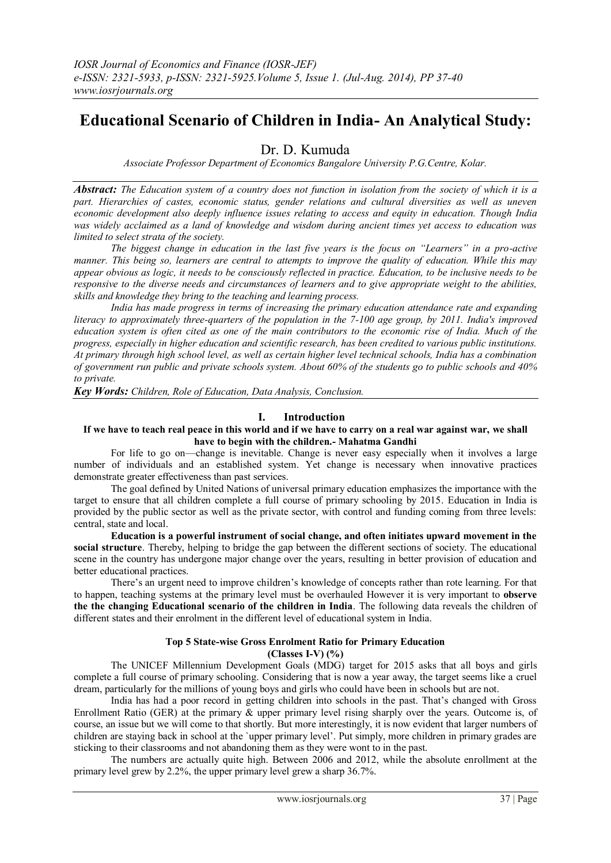# **Educational Scenario of Children in India- An Analytical Study:**

Dr. D. Kumuda

*Associate Professor Department of Economics Bangalore University P.G.Centre, Kolar.*

*Abstract: The Education system of a country does not function in isolation from the society of which it is a part. Hierarchies of castes, economic status, gender relations and cultural diversities as well as uneven economic development also deeply influence issues relating to access and equity in education. Though India was widely acclaimed as a land of knowledge and wisdom during ancient times yet access to education was limited to select strata of the society.* 

*The biggest change in education in the last five years is the focus on "Learners" in a pro-active manner. This being so, learners are central to attempts to improve the quality of education. While this may appear obvious as logic, it needs to be consciously reflected in practice. Education, to be inclusive needs to be responsive to the diverse needs and circumstances of learners and to give appropriate weight to the abilities, skills and knowledge they bring to the teaching and learning process.* 

*[India](http://en.wikipedia.org/wiki/India) has made progress in terms of increasing the primary education attendance rate and expanding [literacy](http://en.wikipedia.org/wiki/Literacy_in_India) to approximately three-quarters of the population in the 7-100 age group, by 2011. India's improved education system is often cited as one of the main contributors to the [economic rise of India.](http://en.wikipedia.org/wiki/Economic_development_in_India) Much of the progress, especially in higher education and scientific research, has been credited to various public institutions. At primary through high school level, as well as certain higher level technical schools, India has a combination of government run public and private schools system. About 60% of the students go to public schools and 40% to private.*

*Key Words: Children, Role of Education, Data Analysis, Conclusion.*

# **I. Introduction**

#### **If we have to teach real peace in this world and if we have to carry on a real war against war, we shall have to begin with the children.- Mahatma Gandhi**

For life to go on—change is inevitable. Change is never easy especially when it involves a large number of individuals and an established system. Yet change is necessary when innovative practices demonstrate greater effectiveness than past services.

The goal defined by United Nations of universal primary education emphasizes the importance with the target to ensure that all children complete a full course of primary schooling by 2015. Education in India is provided by the public sector as well as the private sector, with control and funding coming from three levels: central, state and local.

**Education is a powerful instrument of social change, and often initiates upward movement in the social structure**. Thereby, helping to bridge the gap between the different sections of society. The educational scene in the country has undergone major change over the years, resulting in better provision of education and better educational practices.

There's an urgent need to improve children's knowledge of concepts rather than rote learning. For that to happen, teaching systems at the primary level must be overhauled However it is very important to **observe the the changing Educational scenario of the children in India**. The following data reveals the children of different states and their enrolment in the different level of educational system in India.

# **Top 5 State-wise Gross Enrolment Ratio for Primary Education (Classes I-V) (%)**

The UNICEF Millennium Development Goals (MDG) [target](http://www.unicef.org/mdg/index_education.htm) for 2015 asks that all boys and girls complete a full course of primary schooling. Considering that is now a year away, the target seems like a cruel dream, particularly for the millions of young boys and girls who could have been in schools but are not.

India has had a poor record in getting children into schools in the past. That's changed with Gross Enrollment Ratio (GER) at the primary  $\&$  upper primary level rising sharply over the years. Outcome is, of course, an issue but we will come to that shortly. But more interestingly, it is now evident that larger numbers of children are staying back in school at the `upper primary level'. Put simply, more children in primary grades are sticking to their classrooms and not abandoning them as they were wont to in the past.

The numbers are actually quite high. Between 2006 and 2012, while the absolute enrollment at the primary level grew by 2.2%, the upper primary level grew a sharp 36.7%.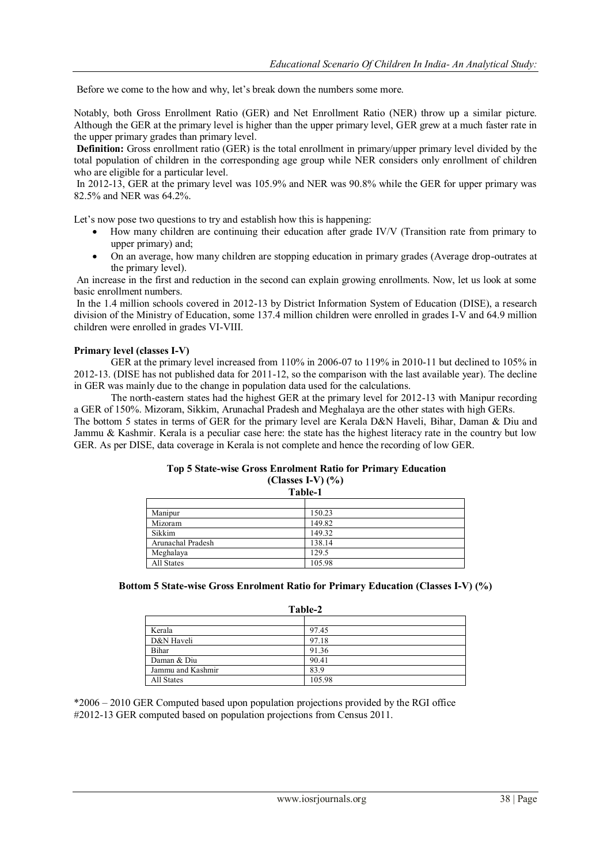Before we come to the how and why, let's break down the numbers some more.

Notably, both Gross Enrollment Ratio (GER) and Net Enrollment Ratio (NER) throw up a similar picture. Although the GER at the primary level is higher than the upper primary level, GER grew at a much faster rate in the upper primary grades than primary level.

**Definition:** Gross enrollment ratio (GER) is the total enrollment in primary/upper primary level divided by the total population of children in the corresponding age group while NER considers only enrollment of children who are eligible for a particular level.

In 2012-13, GER at the primary level was 105.9% and NER was 90.8% while the GER for upper primary was 82.5% and NER was 64.2%.

Let's now pose two questions to try and establish how this is happening:

- How many children are continuing their education after grade IV/V (Transition rate from primary to upper primary) and;
- On an average, how many children are stopping education in primary grades (Average drop-outrates at the primary level).

An increase in the first and reduction in the second can explain growing enrollments. Now, let us look at some basic enrollment numbers.

In the 1.4 million schools covered in 2012-13 by District Information System of Education (DISE), a research division of the Ministry of Education, some 137.4 million children were enrolled in grades I-V and 64.9 million children were enrolled in grades VI-VIII.

#### **Primary level (classes I-V)**

GER at the primary level increased from 110% in 2006-07 to 119% in 2010-11 but declined to 105% in 2012-13. (DISE has not published data for 2011-12, so the comparison with the last available year). The decline in GER was mainly due to the change in population data used for the calculations.

The north-eastern states had the highest GER at the primary level for 2012-13 with Manipur recording a GER of 150%. Mizoram, Sikkim, Arunachal Pradesh and Meghalaya are the other states with high GERs. The bottom 5 states in terms of GER for the primary level are Kerala D&N Haveli, Bihar, Daman & Diu and Jammu & Kashmir. Kerala is a peculiar case here: the state has the highest literacy rate in the country but low GER. As per DISE, data coverage in Kerala is not complete and hence the recording of low GER.

#### **Top 5 State-wise Gross Enrolment Ratio for Primary Education (Classes I-V) (%) Table-1**

| я анг-т           |        |  |
|-------------------|--------|--|
|                   |        |  |
| Manipur           | 150.23 |  |
| Mizoram           | 149.82 |  |
| Sikkim            | 149.32 |  |
| Arunachal Pradesh | 138.14 |  |
| Meghalaya         | 129.5  |  |
| All States        | 105.98 |  |

| Table-2           |        |  |
|-------------------|--------|--|
|                   |        |  |
| Kerala            | 97.45  |  |
| D&N Haveli        | 97.18  |  |
| Bihar             | 91.36  |  |
| Daman & Diu       | 90.41  |  |
| Jammu and Kashmir | 83.9   |  |
| All States        | 105.98 |  |

\*2006 – 2010 GER Computed based upon population projections provided by the RGI office #2012-13 GER computed based on population projections from Census 2011.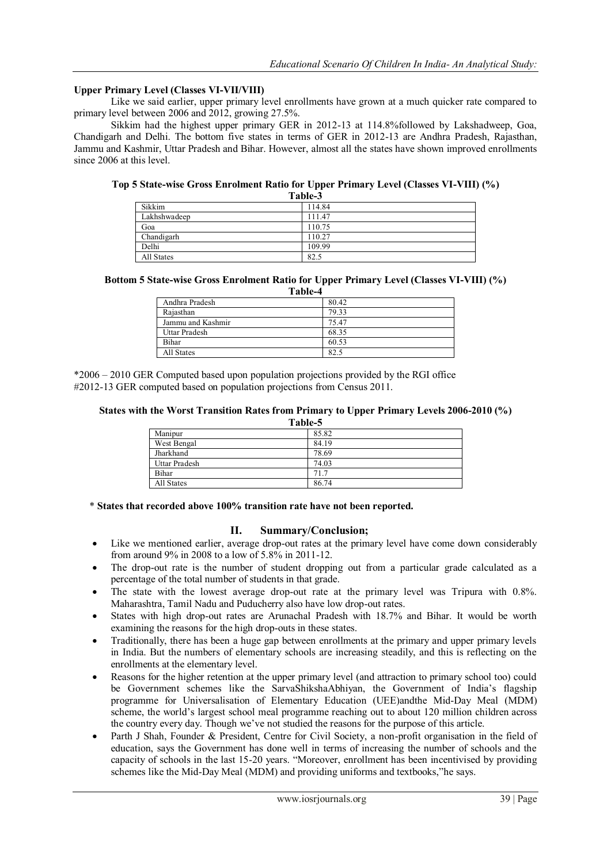# **Upper Primary Level (Classes VI-VII/VIII)**

Like we said earlier, upper primary level enrollments have grown at a much quicker rate compared to primary level between 2006 and 2012, growing 27.5%.

Sikkim had the highest upper primary GER in 2012-13 at 114.8%followed by Lakshadweep, Goa, Chandigarh and Delhi. The bottom five states in terms of GER in 2012-13 are Andhra Pradesh, Rajasthan, Jammu and Kashmir, Uttar Pradesh and Bihar. However, almost all the states have shown improved enrollments since 2006 at this level.

**Top 5 State-wise Gross Enrolment Ratio for Upper Primary Level (Classes VI-VIII) (%)**

| Table-3      |        |  |
|--------------|--------|--|
| Sikkim       | 114.84 |  |
| Lakhshwadeep | 111.47 |  |
| Goa          | 110.75 |  |
| Chandigarh   | 110.27 |  |
| Delhi        | 109.99 |  |
| All States   | 82.5   |  |

#### **Bottom 5 State-wise Gross Enrolment Ratio for Upper Primary Level (Classes VI-VIII) (%)**

| Table-4           |       |  |
|-------------------|-------|--|
| Andhra Pradesh    | 80.42 |  |
| Rajasthan         | 79.33 |  |
| Jammu and Kashmir | 75.47 |  |
| Uttar Pradesh     | 68.35 |  |
| Bihar             | 60.53 |  |
| All States        | 82.5  |  |

\*2006 – 2010 GER Computed based upon population projections provided by the RGI office #2012-13 GER computed based on population projections from Census 2011.

#### **States with the Worst Transition Rates from Primary to Upper Primary Levels 2006-2010 (%)**

| Table-5       |       |  |
|---------------|-------|--|
| Manipur       | 85.82 |  |
| West Bengal   | 84.19 |  |
| Jharkhand     | 78.69 |  |
| Uttar Pradesh | 74.03 |  |
| Bihar         | 71.7  |  |
| All States    | 86.74 |  |

#### \* **States that recorded above 100% transition rate have not been reported.**

#### **II. Summary/Conclusion;**

- Like we mentioned earlier, average drop-out rates at the primary level have come down considerably from around 9% in 2008 to a low of 5.8% in 2011-12.
- The drop-out rate is the number of student dropping out from a particular grade calculated as a percentage of the total number of students in that grade.
- The state with the lowest average drop-out rate at the primary level was Tripura with 0.8%. Maharashtra, Tamil Nadu and Puducherry also have low drop-out rates.
- States with high drop-out rates are Arunachal Pradesh with 18.7% and Bihar. It would be worth examining the reasons for the high drop-outs in these states.
- Traditionally, there has been a huge gap between enrollments at the primary and upper primary levels in India. But the numbers of elementary schools are increasing steadily, and this is reflecting on the enrollments at the elementary level.
- Reasons for the higher retention at the upper primary level (and attraction to primary school too) could be Government schemes like the SarvaShikshaAbhiyan, the Government of India's flagship programme for Universalisation of Elementary Education (UEE)andthe Mid-Day Meal (MDM) scheme, the world's largest school meal programme reaching out to about 120 million children across the country every day. Though we've not studied the reasons for the purpose of this article.
- Parth J Shah, Founder & President, Centre for Civil Society, a non-profit organisation in the field of education, says the Government has done well in terms of increasing the number of schools and the capacity of schools in the last 15-20 years. "Moreover, enrollment has been incentivised by providing schemes like the Mid-Day Meal (MDM) and providing uniforms and textbooks, the says.